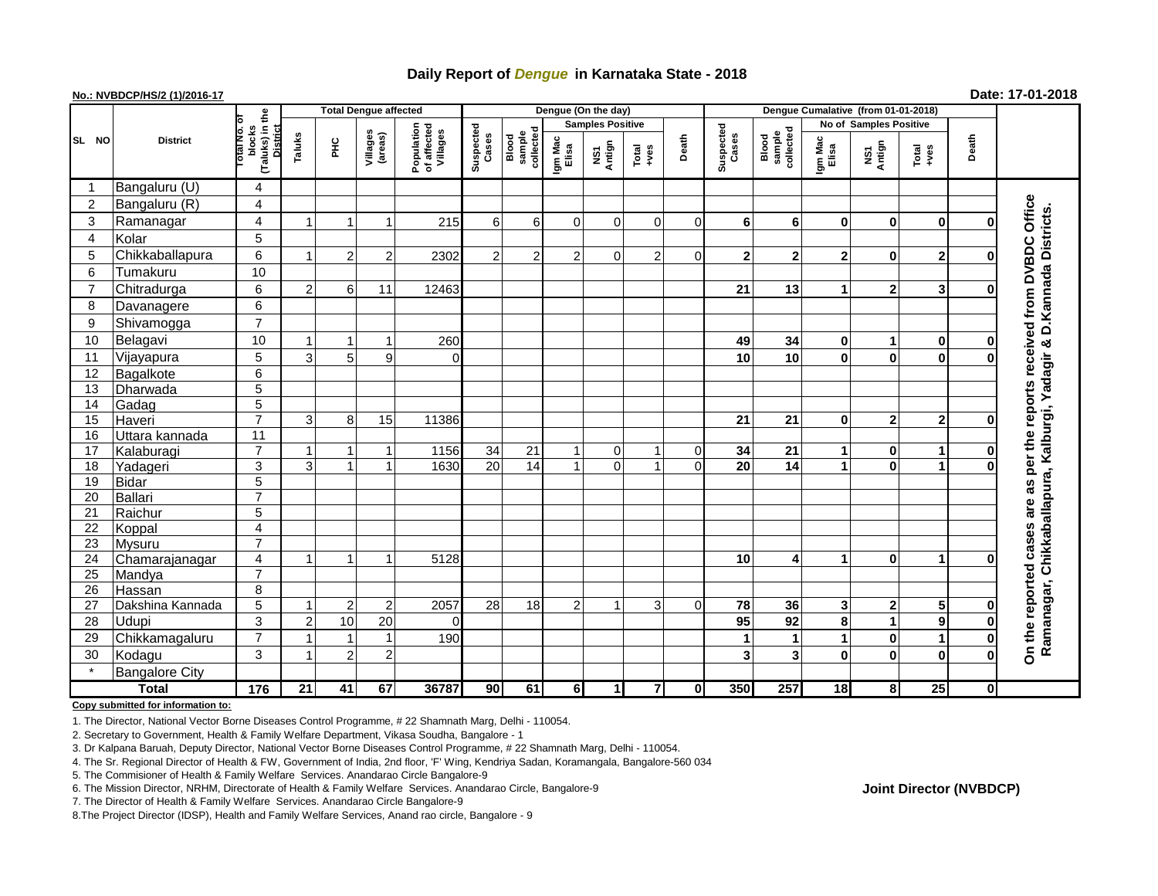# **Daily Report of** *Dengue* **in Karnataka State - 2018**

## **No.: NVBDCP/HS/2 (1)/2016-17 Date: 17-01-2018**

|                | <b>District</b>       |                                                          | <b>Total Dengue affected</b> |                      |                     |                                       |                    |                              |                         | Dengue (On the day) |                |             |                          |                              |                        |                                |                |             |                                                 |
|----------------|-----------------------|----------------------------------------------------------|------------------------------|----------------------|---------------------|---------------------------------------|--------------------|------------------------------|-------------------------|---------------------|----------------|-------------|--------------------------|------------------------------|------------------------|--------------------------------|----------------|-------------|-------------------------------------------------|
|                |                       |                                                          |                              |                      |                     |                                       | Suspected<br>Cases |                              | <b>Samples Positive</b> |                     |                |             |                          |                              | No of Samples Positive |                                |                |             |                                                 |
| SL NO          |                       | (Taluks) in the<br>blocks<br><b>District</b><br>otal No. | Taluks                       | ĔЧ                   | Villages<br>(areas) | Population<br>of affected<br>Villages |                    | sample<br>collected<br>Blood | Igm Mac<br>Elisa        | Antign<br>λŠ1       | Total<br>+ves  | Death       | iuspected<br>Cases<br>ō, | sample<br>collected<br>Blood | Igm Mac<br>Elisa       | NS1<br>Antign<br>Total<br>+ves |                | Death       |                                                 |
|                | Bangaluru (U)         | $\overline{\mathbf{4}}$                                  |                              |                      |                     |                                       |                    |                              |                         |                     |                |             |                          |                              |                        |                                |                |             |                                                 |
| 2              | Bangaluru (R)         | $\overline{\mathbf{4}}$                                  |                              |                      |                     |                                       |                    |                              |                         |                     |                |             |                          |                              |                        |                                |                |             |                                                 |
| 3              | Ramanagar             | $\overline{\mathbf{4}}$                                  |                              |                      | -1                  | 215                                   | 6                  | 6                            | $\Omega$                | $\Omega$            | $\Omega$       | $\mathbf 0$ | 6                        | 6                            | $\mathbf{0}$           | 0                              | $\mathbf 0$    | U           | Office<br>D. Kannada Districts.                 |
| $\overline{4}$ | Kolar                 | 5                                                        |                              |                      |                     |                                       |                    |                              |                         |                     |                |             |                          |                              |                        |                                |                |             |                                                 |
| 5              | Chikkaballapura       | 6                                                        |                              | $\overline{2}$       | $\overline{2}$      | 2302                                  | $\overline{2}$     | $\overline{2}$               | $\overline{2}$          | $\mathbf 0$         | $\overline{2}$ | $\mathbf 0$ | $\mathbf{2}$             | $\overline{2}$               | $\mathbf{2}$           | 0                              | $\overline{2}$ | 0           |                                                 |
| 6              | Tumakuru              | 10                                                       |                              |                      |                     |                                       |                    |                              |                         |                     |                |             |                          |                              |                        |                                |                |             |                                                 |
| $\overline{7}$ | Chitradurga           | 6                                                        | $\overline{2}$               | 6                    | 11                  | 12463                                 |                    |                              |                         |                     |                |             | 21                       | 13                           |                        | $\mathbf 2$                    | 3              | ŋ           | received from DVBDC                             |
| 8              | Davanagere            | 6                                                        |                              |                      |                     |                                       |                    |                              |                         |                     |                |             |                          |                              |                        |                                |                |             |                                                 |
| 9              | Shivamogga            | $\overline{7}$                                           |                              |                      |                     |                                       |                    |                              |                         |                     |                |             |                          |                              |                        |                                |                |             |                                                 |
| 10             | Belagavi              | 10                                                       |                              |                      |                     | 260                                   |                    |                              |                         |                     |                |             | 49                       | 34                           | $\mathbf{0}$           | 1                              | $\mathbf 0$    | 0           |                                                 |
| 11             | Vijayapura            | 5                                                        | 3                            | 5                    | 9                   | $\Omega$                              |                    |                              |                         |                     |                |             | 10                       | 10                           | $\bf{0}$               | $\bf{0}$                       | $\mathbf 0$    | O           | Ramanagar, Chikkaballapura, Kalburgi, Yadagir & |
| 12             | Bagalkote             | $\overline{6}$                                           |                              |                      |                     |                                       |                    |                              |                         |                     |                |             |                          |                              |                        |                                |                |             |                                                 |
| 13             | Dharwada              | $\overline{5}$                                           |                              |                      |                     |                                       |                    |                              |                         |                     |                |             |                          |                              |                        |                                |                |             |                                                 |
| 14             | Gadag                 | $\overline{5}$                                           |                              |                      |                     |                                       |                    |                              |                         |                     |                |             |                          |                              |                        |                                |                |             |                                                 |
| 15             | Haveri                | $\overline{7}$                                           | 3                            | 8                    | 15                  | 11386                                 |                    |                              |                         |                     |                |             | 21                       | 21                           | $\bf{0}$               | $\mathbf 2$                    | $\mathbf 2$    | $\bf{0}$    | per the reports                                 |
| 16             | Uttara kannada        | $\overline{11}$                                          |                              |                      |                     |                                       |                    |                              |                         |                     |                |             |                          |                              |                        |                                |                |             |                                                 |
| 17             | Kalaburagi            | $\overline{7}$                                           |                              | 1                    | -1                  | 1156                                  | 34                 | 21                           | -1                      | 0                   | $\mathbf 1$    | 0           | 34                       | 21                           | 1                      | 0                              | 1              | 0           |                                                 |
| 18             | Yadageri              | 3                                                        | 3                            | $\blacktriangleleft$ | $\overline{1}$      | 1630                                  | $\overline{20}$    | $\overline{14}$              | $\mathbf{1}$            | $\mathbf 0$         | $\overline{1}$ | $\mathbf 0$ | 20                       | 14                           | 1                      | $\bf{0}$                       | 1              | O           |                                                 |
| 19             | <b>Bidar</b>          | $\overline{5}$                                           |                              |                      |                     |                                       |                    |                              |                         |                     |                |             |                          |                              |                        |                                |                |             |                                                 |
| 20             | Ballari               | $\overline{7}$                                           |                              |                      |                     |                                       |                    |                              |                         |                     |                |             |                          |                              |                        |                                |                |             | cases are as                                    |
| 21             | Raichur               | $\overline{5}$                                           |                              |                      |                     |                                       |                    |                              |                         |                     |                |             |                          |                              |                        |                                |                |             |                                                 |
| 22             | Koppal                | $\overline{\mathbf{4}}$                                  |                              |                      |                     |                                       |                    |                              |                         |                     |                |             |                          |                              |                        |                                |                |             |                                                 |
| 23             | <b>Mysuru</b>         | $\overline{7}$                                           |                              |                      |                     |                                       |                    |                              |                         |                     |                |             |                          |                              |                        |                                |                |             |                                                 |
| 24             | Chamarajanagar        | $\overline{\mathbf{4}}$                                  |                              | $\mathbf 1$          | $\overline{1}$      | 5128                                  |                    |                              |                         |                     |                |             | 10                       | $\overline{\mathbf{A}}$      | 1                      | 0                              | 1              | Ω           |                                                 |
| 25             | Mandya                | $\overline{7}$                                           |                              |                      |                     |                                       |                    |                              |                         |                     |                |             |                          |                              |                        |                                |                |             |                                                 |
| 26             | Hassan                | 8                                                        |                              |                      |                     |                                       |                    |                              |                         |                     |                |             |                          |                              |                        |                                |                |             |                                                 |
| 27             | Dakshina Kannada      | $\overline{5}$                                           |                              | $\overline{2}$       | $\overline{2}$      | 2057                                  | 28                 | 18                           | $\overline{c}$          | 1                   | 3              | $\mathbf 0$ | 78                       | 36                           | $\mathbf{3}$           | $\mathbf 2$                    | 5              | 0           | On the reported                                 |
| 28             | <b>Udupi</b>          | 3                                                        | 2                            | 10                   | 20                  | $\Omega$                              |                    |                              |                         |                     |                |             | 95                       | 92                           | 8                      | 1                              | 9              | 0           |                                                 |
| 29             | Chikkamagaluru        | $\overline{7}$                                           |                              |                      | $\overline{1}$      | 190                                   |                    |                              |                         |                     |                |             | 1                        | 1                            |                        | 0                              | 1              | $\mathbf 0$ |                                                 |
| 30             | Kodagu                | 3                                                        |                              | $\overline{2}$       | $\overline{c}$      |                                       |                    |                              |                         |                     |                |             | 3                        | 3                            | $\mathbf 0$            | 0                              | $\bf{0}$       | $\mathbf 0$ |                                                 |
|                | <b>Bangalore City</b> |                                                          |                              |                      |                     |                                       |                    |                              |                         |                     |                |             |                          |                              |                        |                                |                |             |                                                 |
| <b>Total</b>   |                       | $\frac{1}{176}$                                          | 21                           | 41                   | 67                  | 36787                                 | 90                 | 61                           | <b>6</b>                | $\mathbf{1}$        | $\overline{7}$ | $\pmb{0}$   | 350                      | 257                          | 18                     | 8                              | 25             | Οl          |                                                 |

**Copy submitted for information to:**

1. The Director, National Vector Borne Diseases Control Programme, # 22 Shamnath Marg, Delhi - 110054.

2. Secretary to Government, Health & Family Welfare Department, Vikasa Soudha, Bangalore - 1

3. Dr Kalpana Baruah, Deputy Director, National Vector Borne Diseases Control Programme, # 22 Shamnath Marg, Delhi - 110054.

4. The Sr. Regional Director of Health & FW, Government of India, 2nd floor, 'F' Wing, Kendriya Sadan, Koramangala, Bangalore-560 034

5. The Commisioner of Health & Family Welfare Services. Anandarao Circle Bangalore-9

7. The Director of Health & Family Welfare Services. Anandarao Circle Bangalore-9

8.The Project Director (IDSP), Health and Family Welfare Services, Anand rao circle, Bangalore - 9

**Joint Director (NVBDCP)**

<sup>6.</sup> The Mission Director, NRHM, Directorate of Health & Family Welfare Services. Anandarao Circle, Bangalore-9